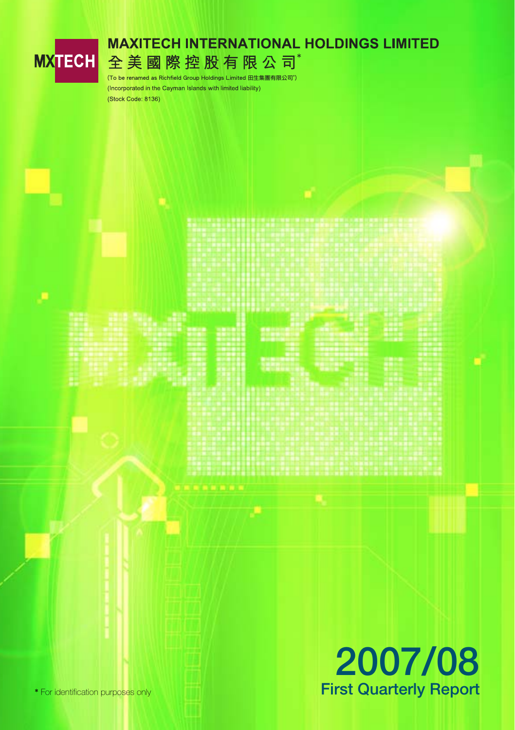

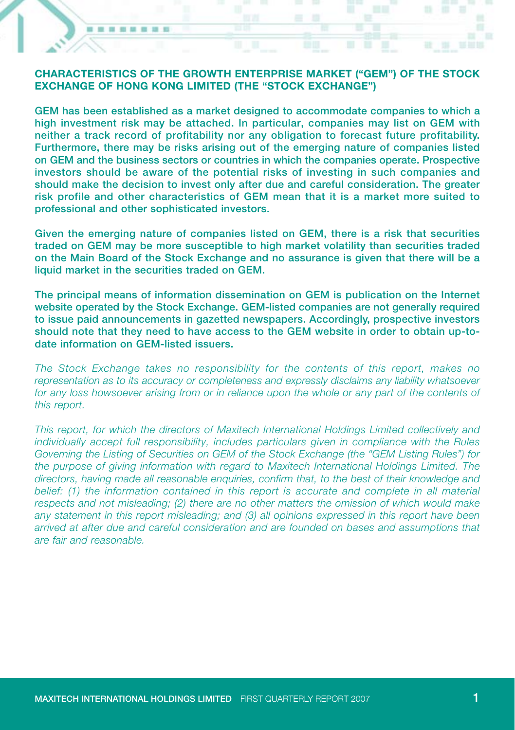#### **CHARACTERISTICS OF THE GROWTH ENTERPRISE MARKET ("GEM") OF THE STOCK EXCHANGE OF HONG KONG LIMITED (THE "STOCK EXCHANGE")**

 $\blacksquare$ ٠ ■ ■ ■ ■ ■

**GEM has been established as a market designed to accommodate companies to which a high investment risk may be attached. In particular, companies may list on GEM with neither a track record of profitability nor any obligation to forecast future profitability. Furthermore, there may be risks arising out of the emerging nature of companies listed on GEM and the business sectors or countries in which the companies operate. Prospective investors should be aware of the potential risks of investing in such companies and should make the decision to invest only after due and careful consideration. The greater risk profile and other characteristics of GEM mean that it is a market more suited to professional and other sophisticated investors.**

**Given the emerging nature of companies listed on GEM, there is a risk that securities traded on GEM may be more susceptible to high market volatility than securities traded on the Main Board of the Stock Exchange and no assurance is given that there will be a liquid market in the securities traded on GEM.**

**The principal means of information dissemination on GEM is publication on the Internet website operated by the Stock Exchange. GEM-listed companies are not generally required to issue paid announcements in gazetted newspapers. Accordingly, prospective investors should note that they need to have access to the GEM website in order to obtain up-todate information on GEM-listed issuers.**

*The Stock Exchange takes no responsibility for the contents of this report, makes no representation as to its accuracy or completeness and expressly disclaims any liability whatsoever for any loss howsoever arising from or in reliance upon the whole or any part of the contents of this report.*

*This report, for which the directors of Maxitech International Holdings Limited collectively and individually accept full responsibility, includes particulars given in compliance with the Rules Governing the Listing of Securities on GEM of the Stock Exchange (the "GEM Listing Rules") for the purpose of giving information with regard to Maxitech International Holdings Limited. The directors, having made all reasonable enquiries, confirm that, to the best of their knowledge and belief: (1) the information contained in this report is accurate and complete in all material respects and not misleading; (2) there are no other matters the omission of which would make any statement in this report misleading; and (3) all opinions expressed in this report have been arrived at after due and careful consideration and are founded on bases and assumptions that are fair and reasonable.*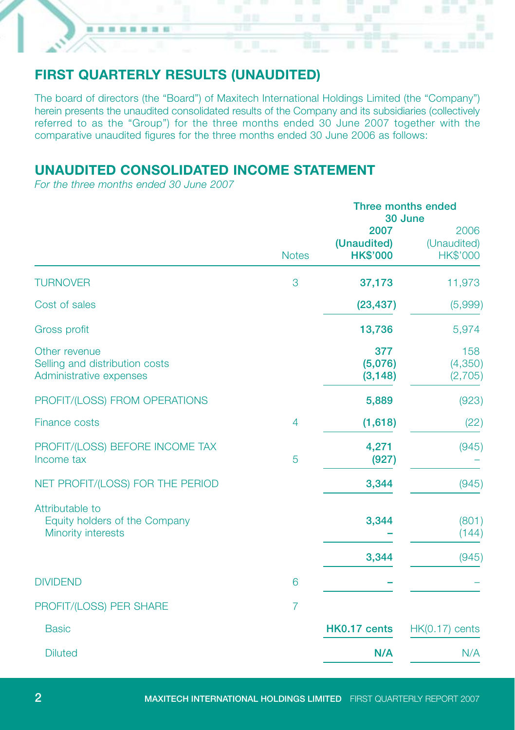# **FIRST QUARTERLY RESULTS (UNAUDITED)**

The board of directors (the "Board") of Maxitech International Holdings Limited (the "Company") herein presents the unaudited consolidated results of the Company and its subsidiaries (collectively referred to as the "Group") for the three months ended 30 June 2007 together with the comparative unaudited figures for the three months ended 30 June 2006 as follows:

# **UNAUDITED CONSOLIDATED INCOME STATEMENT**

*For the three months ended 30 June 2007*

........

|                                                                            |                | Three months ended<br>30 June          |                                 |  |
|----------------------------------------------------------------------------|----------------|----------------------------------------|---------------------------------|--|
|                                                                            | <b>Notes</b>   | 2007<br>(Unaudited)<br><b>HK\$'000</b> | 2006<br>(Unaudited)<br>HK\$'000 |  |
| <b>TURNOVER</b>                                                            | 3              | 37,173                                 | 11,973                          |  |
| Cost of sales                                                              |                | (23, 437)                              | (5,999)                         |  |
| <b>Gross profit</b>                                                        |                | 13,736                                 | 5,974                           |  |
| Other revenue<br>Selling and distribution costs<br>Administrative expenses |                | 377<br>(5,076)<br>(3, 148)             | 158<br>(4,350)<br>(2,705)       |  |
| PROFIT/(LOSS) FROM OPERATIONS                                              |                | 5,889                                  | (923)                           |  |
| <b>Finance costs</b>                                                       | $\overline{4}$ | (1,618)                                | (22)                            |  |
| PROFIT/(LOSS) BEFORE INCOME TAX<br>Income tax                              | 5              | 4,271<br>(927)                         | (945)                           |  |
| NET PROFIT/(LOSS) FOR THE PERIOD                                           |                | 3,344                                  | (945)                           |  |
| Attributable to<br>Equity holders of the Company<br>Minority interests     |                | 3,344<br>3,344                         | (801)<br>(144)<br>(945)         |  |
| <b>DIVIDEND</b>                                                            | 6              |                                        |                                 |  |
| PROFIT/(LOSS) PER SHARE                                                    | $\overline{7}$ |                                        |                                 |  |
| <b>Basic</b>                                                               |                | HK0.17 cents                           | $HK(0.17)$ cents                |  |
| <b>Diluted</b>                                                             |                | N/A                                    | N/A                             |  |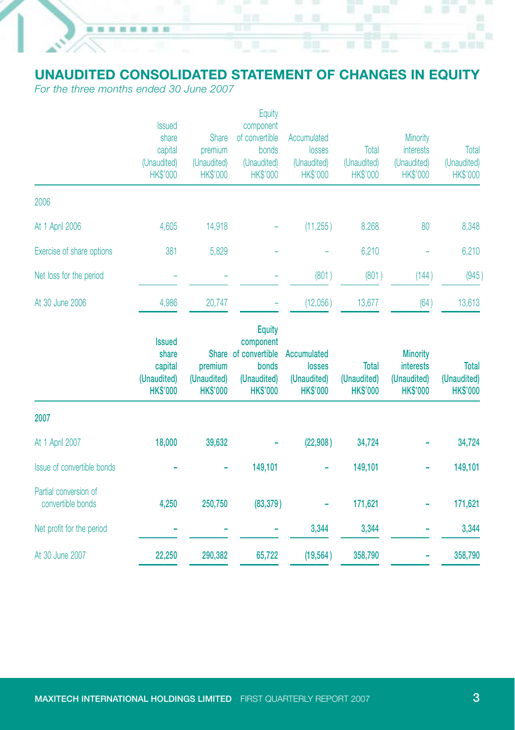# **UNAUDITED CONSOLIDATED STATEMENT OF CHANGES IN EQUITY**

*For the three months ended 30 June 2007*

 $\blacksquare$ 18.10

.....

|                           | <b>Issued</b><br>share<br>capital<br>(Unaudited)<br><b>HK\$'000</b> | <b>Share</b><br>premium<br>(Unaudited)<br><b>HK\$'000</b> | Equity<br>component<br>of convertible<br>bonds<br>(Unaudited)<br><b>HK\$'000</b> | Accumulated<br>losses<br>(Unaudited)<br><b>HK\$'000</b> | Total<br>(Unaudited)<br><b>HK\$'000</b> | Minority<br><b>interests</b><br>(Unaudited)<br><b>HK\$'000</b> | Total<br>(Unaudited)<br>HK\$'000 |
|---------------------------|---------------------------------------------------------------------|-----------------------------------------------------------|----------------------------------------------------------------------------------|---------------------------------------------------------|-----------------------------------------|----------------------------------------------------------------|----------------------------------|
| 2006                      |                                                                     |                                                           |                                                                                  |                                                         |                                         |                                                                |                                  |
| At 1 April 2006           | 4.605                                                               | 14,918                                                    |                                                                                  | (11, 255)                                               | 8,268                                   | 80                                                             | 8,348                            |
| Exercise of share options | 381                                                                 | 5,829                                                     |                                                                                  |                                                         | 6,210                                   |                                                                | 6,210                            |
| Net loss for the period   |                                                                     |                                                           |                                                                                  | (801)                                                   | (801)                                   | (144)                                                          | (945)                            |
| At 30 June 2006           | 4,986                                                               | 20,747                                                    |                                                                                  | (12,056)                                                | 13,677                                  | (64)                                                           | 13,613                           |

|                                            | <b>Issued</b><br>share<br>capital<br>(Unaudited)<br><b>HK\$'000</b> | premium<br>(Unaudited)<br><b>HK\$'000</b> | <b>Equity</b><br>component<br>Share of convertible<br>bonds<br>(Unaudited)<br><b>HK\$'000</b> | Accumulated<br><b>losses</b><br>(Unaudited)<br><b>HK\$'000</b> | Total<br>(Unaudited)<br><b>HK\$'000</b> | <b>Minority</b><br><b>interests</b><br>(Unaudited)<br><b>HK\$'000</b> | Total<br>(Unaudited)<br><b>HK\$'000</b> |
|--------------------------------------------|---------------------------------------------------------------------|-------------------------------------------|-----------------------------------------------------------------------------------------------|----------------------------------------------------------------|-----------------------------------------|-----------------------------------------------------------------------|-----------------------------------------|
| 2007                                       |                                                                     |                                           |                                                                                               |                                                                |                                         |                                                                       |                                         |
| At 1 April 2007                            | 18,000                                                              | 39,632                                    |                                                                                               | (22,908)                                                       | 34,724                                  |                                                                       | 34,724                                  |
| Issue of convertible bonds                 |                                                                     |                                           | 149,101                                                                                       |                                                                | 149,101                                 |                                                                       | 149,101                                 |
| Partial conversion of<br>convertible bonds | 4,250                                                               | 250,750                                   | (83, 379)                                                                                     |                                                                | 171,621                                 |                                                                       | 171,621                                 |
| Net profit for the period                  |                                                                     |                                           |                                                                                               | 3,344                                                          | 3,344                                   |                                                                       | 3,344                                   |
| At 30 June 2007                            | 22,250                                                              | 290,382                                   | 65,722                                                                                        | (19, 564)                                                      | 358,790                                 |                                                                       | 358,790                                 |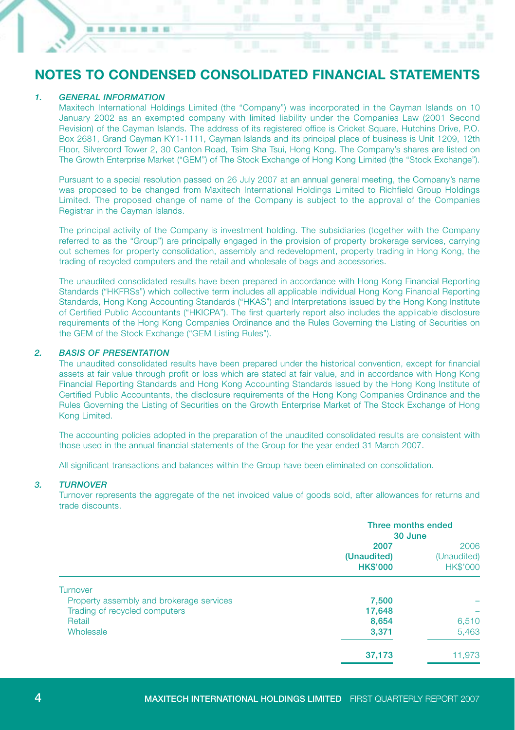# **NOTES TO CONDENSED CONSOLIDATED FINANCIAL STATEMENTS**

#### *1. GENERAL INFORMATION*

........

Maxitech International Holdings Limited (the "Company") was incorporated in the Cayman Islands on 10 January 2002 as an exempted company with limited liability under the Companies Law (2001 Second Revision) of the Cayman Islands. The address of its registered office is Cricket Square, Hutchins Drive, P.O. Box 2681, Grand Cayman KY1-1111, Cayman Islands and its principal place of business is Unit 1209, 12th Floor, Silvercord Tower 2, 30 Canton Road, Tsim Sha Tsui, Hong Kong. The Company's shares are listed on The Growth Enterprise Market ("GEM") of The Stock Exchange of Hong Kong Limited (the "Stock Exchange").

Pursuant to a special resolution passed on 26 July 2007 at an annual general meeting, the Company's name was proposed to be changed from Maxitech International Holdings Limited to Richfield Group Holdings Limited. The proposed change of name of the Company is subject to the approval of the Companies Registrar in the Cayman Islands.

The principal activity of the Company is investment holding. The subsidiaries (together with the Company referred to as the "Group") are principally engaged in the provision of property brokerage services, carrying out schemes for property consolidation, assembly and redevelopment, property trading in Hong Kong, the trading of recycled computers and the retail and wholesale of bags and accessories.

The unaudited consolidated results have been prepared in accordance with Hong Kong Financial Reporting Standards ("HKFRSs") which collective term includes all applicable individual Hong Kong Financial Reporting Standards, Hong Kong Accounting Standards ("HKAS") and Interpretations issued by the Hong Kong Institute of Certified Public Accountants ("HKICPA"). The first quarterly report also includes the applicable disclosure requirements of the Hong Kong Companies Ordinance and the Rules Governing the Listing of Securities on the GEM of the Stock Exchange ("GEM Listing Rules").

#### *2. BASIS OF PRESENTATION*

The unaudited consolidated results have been prepared under the historical convention, except for financial assets at fair value through profit or loss which are stated at fair value, and in accordance with Hong Kong Financial Reporting Standards and Hong Kong Accounting Standards issued by the Hong Kong Institute of Certified Public Accountants, the disclosure requirements of the Hong Kong Companies Ordinance and the Rules Governing the Listing of Securities on the Growth Enterprise Market of The Stock Exchange of Hong Kong Limited.

The accounting policies adopted in the preparation of the unaudited consolidated results are consistent with those used in the annual financial statements of the Group for the year ended 31 March 2007.

All significant transactions and balances within the Group have been eliminated on consolidation.

#### *3. TURNOVER*

Turnover represents the aggregate of the net invoiced value of goods sold, after allowances for returns and trade discounts.

|                                          | Three months ended<br>30 June          |                                        |
|------------------------------------------|----------------------------------------|----------------------------------------|
|                                          | 2007<br>(Unaudited)<br><b>HK\$'000</b> | 2006<br>(Unaudited)<br><b>HK\$'000</b> |
| <b>Turnover</b>                          |                                        |                                        |
| Property assembly and brokerage services | 7,500                                  | -                                      |
| Trading of recycled computers            | 17,648                                 |                                        |
| Retail                                   | 8,654                                  | 6,510                                  |
| Wholesale                                | 3,371                                  | 5,463                                  |
|                                          | 37,173                                 | 11.973                                 |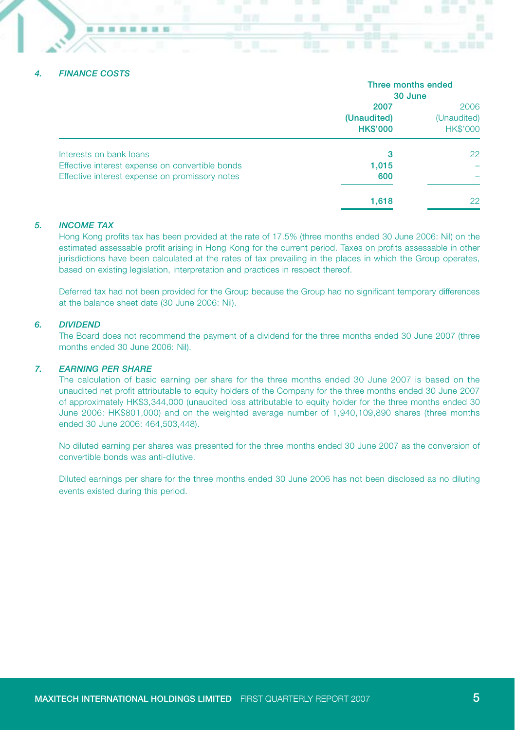#### *4. FINANCE COSTS*

**10 TO COLOR** 

|                                                 | Three months ended<br>30 June          |                                        |  |
|-------------------------------------------------|----------------------------------------|----------------------------------------|--|
|                                                 | 2007<br>(Unaudited)<br><b>HK\$'000</b> | 2006<br>(Unaudited)<br><b>HK\$'000</b> |  |
| Interests on bank loans                         | 3                                      | 22                                     |  |
| Effective interest expense on convertible bonds | 1,015                                  |                                        |  |
| Effective interest expense on promissory notes  | 600                                    |                                        |  |
|                                                 | 1,618                                  | 22                                     |  |

#### *5. INCOME TAX*

Hong Kong profits tax has been provided at the rate of 17.5% (three months ended 30 June 2006: Nil) on the estimated assessable profit arising in Hong Kong for the current period. Taxes on profits assessable in other jurisdictions have been calculated at the rates of tax prevailing in the places in which the Group operates, based on existing legislation, interpretation and practices in respect thereof.

Deferred tax had not been provided for the Group because the Group had no significant temporary differences at the balance sheet date (30 June 2006: Nil).

#### *6. DIVIDEND*

The Board does not recommend the payment of a dividend for the three months ended 30 June 2007 (three months ended 30 June 2006: Nil).

#### *7. EARNING PER SHARE*

The calculation of basic earning per share for the three months ended 30 June 2007 is based on the unaudited net profit attributable to equity holders of the Company for the three months ended 30 June 2007 of approximately HK\$3,344,000 (unaudited loss attributable to equity holder for the three months ended 30 June 2006: HK\$801,000) and on the weighted average number of 1,940,109,890 shares (three months ended 30 June 2006: 464,503,448).

No diluted earning per shares was presented for the three months ended 30 June 2007 as the conversion of convertible bonds was anti-dilutive.

Diluted earnings per share for the three months ended 30 June 2006 has not been disclosed as no diluting events existed during this period.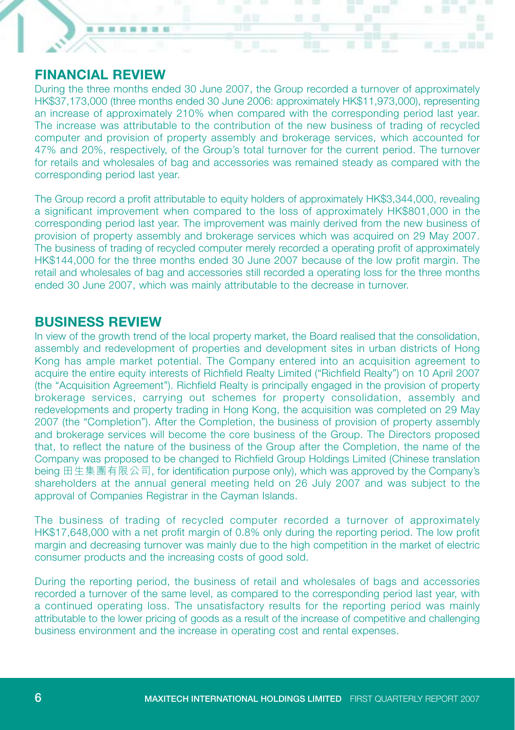### **FINANCIAL REVIEW**

10.10

■ ■ ■ ■ ■

During the three months ended 30 June 2007, the Group recorded a turnover of approximately HK\$37,173,000 (three months ended 30 June 2006: approximately HK\$11,973,000), representing an increase of approximately 210% when compared with the corresponding period last year. The increase was attributable to the contribution of the new business of trading of recycled computer and provision of property assembly and brokerage services, which accounted for 47% and 20%, respectively, of the Group's total turnover for the current period. The turnover for retails and wholesales of bag and accessories was remained steady as compared with the corresponding period last year.

The Group record a profit attributable to equity holders of approximately HK\$3,344,000, revealing a significant improvement when compared to the loss of approximately HK\$801,000 in the corresponding period last year. The improvement was mainly derived from the new business of provision of property assembly and brokerage services which was acquired on 29 May 2007. The business of trading of recycled computer merely recorded a operating profit of approximately HK\$144,000 for the three months ended 30 June 2007 because of the low profit margin. The retail and wholesales of bag and accessories still recorded a operating loss for the three months ended 30 June 2007, which was mainly attributable to the decrease in turnover.

### **BUSINESS REVIEW**

In view of the growth trend of the local property market, the Board realised that the consolidation, assembly and redevelopment of properties and development sites in urban districts of Hong Kong has ample market potential. The Company entered into an acquisition agreement to acquire the entire equity interests of Richfield Realty Limited ("Richfield Realty") on 10 April 2007 (the "Acquisition Agreement"). Richfield Realty is principally engaged in the provision of property brokerage services, carrying out schemes for property consolidation, assembly and redevelopments and property trading in Hong Kong, the acquisition was completed on 29 May 2007 (the "Completion"). After the Completion, the business of provision of property assembly and brokerage services will become the core business of the Group. The Directors proposed that, to reflect the nature of the business of the Group after the Completion, the name of the Company was proposed to be changed to Richfield Group Holdings Limited (Chinese translation being 田生集團有限公司, for identification purpose only), which was approved by the Company's shareholders at the annual general meeting held on 26 July 2007 and was subject to the approval of Companies Registrar in the Cayman Islands.

The business of trading of recycled computer recorded a turnover of approximately HK\$17,648,000 with a net profit margin of 0.8% only during the reporting period. The low profit margin and decreasing turnover was mainly due to the high competition in the market of electric consumer products and the increasing costs of good sold.

During the reporting period, the business of retail and wholesales of bags and accessories recorded a turnover of the same level, as compared to the corresponding period last year, with a continued operating loss. The unsatisfactory results for the reporting period was mainly attributable to the lower pricing of goods as a result of the increase of competitive and challenging business environment and the increase in operating cost and rental expenses.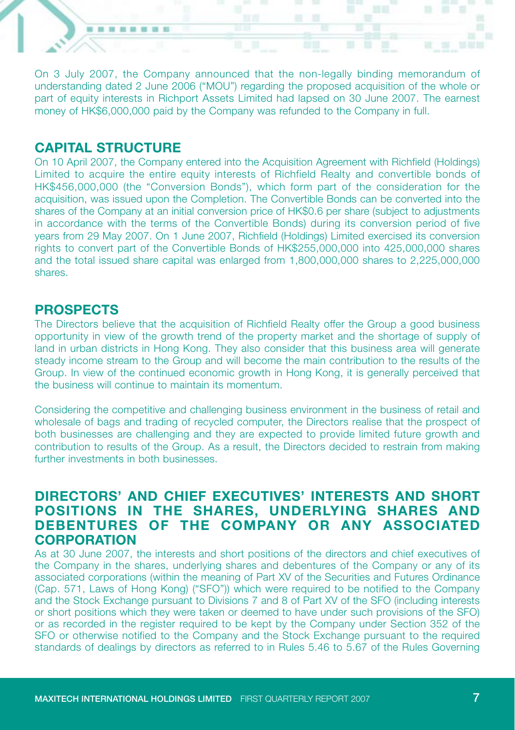On 3 July 2007, the Company announced that the non-legally binding memorandum of understanding dated 2 June 2006 ("MOU") regarding the proposed acquisition of the whole or part of equity interests in Richport Assets Limited had lapsed on 30 June 2007. The earnest money of HK\$6,000,000 paid by the Company was refunded to the Company in full.

## **CAPITAL STRUCTURE**

--------

On 10 April 2007, the Company entered into the Acquisition Agreement with Richfield (Holdings) Limited to acquire the entire equity interests of Richfield Realty and convertible bonds of HK\$456,000,000 (the "Conversion Bonds"), which form part of the consideration for the acquisition, was issued upon the Completion. The Convertible Bonds can be converted into the shares of the Company at an initial conversion price of HK\$0.6 per share (subject to adjustments in accordance with the terms of the Convertible Bonds) during its conversion period of five years from 29 May 2007. On 1 June 2007, Richfield (Holdings) Limited exercised its conversion rights to convert part of the Convertible Bonds of HK\$255,000,000 into 425,000,000 shares and the total issued share capital was enlarged from 1,800,000,000 shares to 2,225,000,000 shares.

### **PROSPECTS**

The Directors believe that the acquisition of Richfield Realty offer the Group a good business opportunity in view of the growth trend of the property market and the shortage of supply of land in urban districts in Hong Kong. They also consider that this business area will generate steady income stream to the Group and will become the main contribution to the results of the Group. In view of the continued economic growth in Hong Kong, it is generally perceived that the business will continue to maintain its momentum.

Considering the competitive and challenging business environment in the business of retail and wholesale of bags and trading of recycled computer, the Directors realise that the prospect of both businesses are challenging and they are expected to provide limited future growth and contribution to results of the Group. As a result, the Directors decided to restrain from making further investments in both businesses.

# **DIRECTORS' AND CHIEF EXECUTIVES' INTERESTS AND SHORT POSITIONS IN THE SHARES, UNDERLYING SHARES AND DEBENTURES OF THE COMPANY OR ANY ASSOCIATED CORPORATION**

As at 30 June 2007, the interests and short positions of the directors and chief executives of the Company in the shares, underlying shares and debentures of the Company or any of its associated corporations (within the meaning of Part XV of the Securities and Futures Ordinance (Cap. 571, Laws of Hong Kong) ("SFO")) which were required to be notified to the Company and the Stock Exchange pursuant to Divisions 7 and 8 of Part XV of the SFO (including interests or short positions which they were taken or deemed to have under such provisions of the SFO) or as recorded in the register required to be kept by the Company under Section 352 of the SFO or otherwise notified to the Company and the Stock Exchange pursuant to the required standards of dealings by directors as referred to in Rules 5.46 to 5.67 of the Rules Governing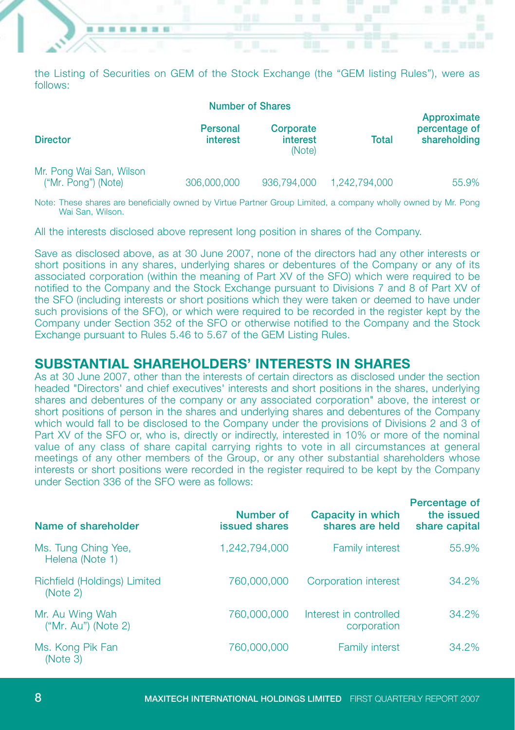the Listing of Securities on GEM of the Stock Exchange (the "GEM listing Rules"), were as follows:

--------

|                                                 | <b>Number of Shares</b> |                                 |               |                                              |
|-------------------------------------------------|-------------------------|---------------------------------|---------------|----------------------------------------------|
| <b>Director</b>                                 | Personal<br>interest    | Corporate<br>interest<br>(Note) | Total         | Approximate<br>percentage of<br>shareholding |
| Mr. Pong Wai San, Wilson<br>("Mr. Pong") (Note) | 306,000,000             | 936,794,000                     | 1.242.794.000 | 55.9%                                        |

Note: These shares are beneficially owned by Virtue Partner Group Limited, a company wholly owned by Mr. Pong Wai San, Wilson.

All the interests disclosed above represent long position in shares of the Company.

Save as disclosed above, as at 30 June 2007, none of the directors had any other interests or short positions in any shares, underlying shares or debentures of the Company or any of its associated corporation (within the meaning of Part XV of the SFO) which were required to be notified to the Company and the Stock Exchange pursuant to Divisions 7 and 8 of Part XV of the SFO (including interests or short positions which they were taken or deemed to have under such provisions of the SFO), or which were required to be recorded in the register kept by the Company under Section 352 of the SFO or otherwise notified to the Company and the Stock Exchange pursuant to Rules 5.46 to 5.67 of the GEM Listing Rules.

#### **SUBSTANTIAL SHAREHOLDERS' INTERESTS IN SHARES**

As at 30 June 2007, other than the interests of certain directors as disclosed under the section headed "Directors' and chief executives' interests and short positions in the shares, underlying shares and debentures of the company or any associated corporation" above, the interest or short positions of person in the shares and underlying shares and debentures of the Company which would fall to be disclosed to the Company under the provisions of Divisions 2 and 3 of Part XV of the SFO or, who is, directly or indirectly, interested in 10% or more of the nominal value of any class of share capital carrying rights to vote in all circumstances at general meetings of any other members of the Group, or any other substantial shareholders whose interests or short positions were recorded in the register required to be kept by the Company under Section 336 of the SFO were as follows:

| Name of shareholder                      | Number of<br>issued shares | Capacity in which<br>shares are held  | Percentage of<br>the issued<br>share capital |
|------------------------------------------|----------------------------|---------------------------------------|----------------------------------------------|
| Ms. Tung Ching Yee,<br>Helena (Note 1)   | 1.242.794.000              | <b>Family interest</b>                | 55.9%                                        |
| Richfield (Holdings) Limited<br>(Note 2) | 760,000,000                | <b>Corporation interest</b>           | 34.2%                                        |
| Mr. Au Wing Wah<br>("Mr. Au") (Note 2)   | 760,000,000                | Interest in controlled<br>corporation | 34.2%                                        |
| Ms. Kong Pik Fan<br>(Note 3)             | 760,000,000                | <b>Family interst</b>                 | 34.2%                                        |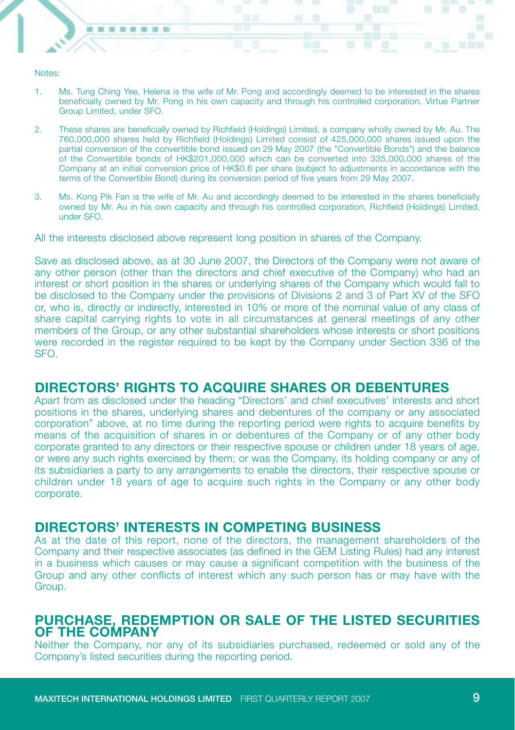#### Notes:

--------

- 1. Ms. Tung Ching Yee, Helena is the wife of Mr. Pong and accordingly deemed to be interested in the shares beneficially owned by Mr. Pong in his own capacity and through his controlled corporation, Virtue Partner Group Limited, under SFO.
- 2. These shares are beneficially owned by Richfield (Holdings) Limited, a company wholly owned by Mr. Au. The 760,000,000 shares held by Richfield (Holdings) Limited consist of 425,000,000 shares issued upon the partial conversion of the convertible bond issued on 29 May 2007 (the "Convertible Bonds") and the balance of the Convertible bonds of HK\$201,000,000 which can be converted into 335,000,000 shares of the Company at an initial conversion price of HK\$0.6 per share (subject to adjustments in accordance with the terms of the Convertible Bond) during its conversion period of five years from 29 May 2007.
- 3. Ms. Kong Pik Fan is the wife of Mr. Au and accordingly deemed to be interested in the shares beneficially owned by Mr. Au in his own capacity and through his controlled corporation, Richfield (Holdings) Limited, under SFO.

All the interests disclosed above represent long position in shares of the Company.

Save as disclosed above, as at 30 June 2007, the Directors of the Company were not aware of any other person (other than the directors and chief executive of the Company) who had an interest or short position in the shares or underlying shares of the Company which would fall to be disclosed to the Company under the provisions of Divisions 2 and 3 of Part XV of the SFO or, who is, directly or indirectly, interested in 10% or more of the nominal value of any class of share capital carrying rights to vote in all circumstances at general meetings of any other members of the Group, or any other substantial shareholders whose interests or short positions were recorded in the register required to be kept by the Company under Section 336 of the SFO.

### **DIRECTORS' RIGHTS TO ACQUIRE SHARES OR DEBENTURES**

Apart from as disclosed under the heading "Directors' and chief executives' interests and short positions in the shares, underlying shares and debentures of the company or any associated corporation" above, at no time during the reporting period were rights to acquire benefits by means of the acquisition of shares in or debentures of the Company or of any other body corporate granted to any directors or their respective spouse or children under 18 years of age, or were any such rights exercised by them; or was the Company, its holding company or any of its subsidiaries a party to any arrangements to enable the directors, their respective spouse or children under 18 years of age to acquire such rights in the Company or any other body corporate.

#### **DIRECTORS' INTERESTS IN COMPETING BUSINESS**

As at the date of this report, none of the directors, the management shareholders of the Company and their respective associates (as defined in the GEM Listing Rules) had any interest in a business which causes or may cause a significant competition with the business of the Group and any other conflicts of interest which any such person has or may have with the Group.

#### **PURCHASE, REDEMPTION OR SALE OF THE LISTED SECURITIES OF THE COMPANY**

Neither the Company, nor any of its subsidiaries purchased, redeemed or sold any of the Company's listed securities during the reporting period.